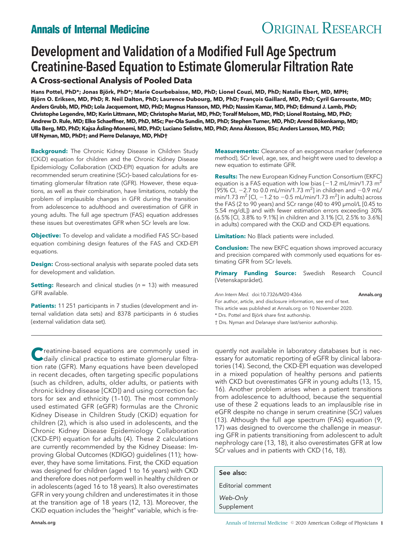## **Annals of Internal Medicine CRIGINAL RESEARCH**

# Development and Validation of a Modified Full Age Spectrum Creatinine-Based Equation to Estimate Glomerular Filtration Rate

## **A Cross-sectional Analysis of Pooled Data**

Hans Pottel, PhD\*; Jonas Björk, PhD\*; Marie Courbebaisse, MD, PhD; Lionel Couzi, MD, PhD; Natalie Ebert, MD, MPH; Björn O. Eriksen, MD, PhD; R. Neil Dalton, PhD; Laurence Dubourg, MD, PhD; François Gaillard, MD, PhD; Cyril Garrouste, MD; **Anders Grubb, MD, PhD; Lola Jacquemont, MD, PhD; Magnus Hansson, MD, PhD; Nassim Kamar, MD, PhD; Edmund J. Lamb, PhD; Christophe Legendre, MD; Karin Littmann, MD; Christophe Mariat, MD, PhD; Toralf Melsom, MD, PhD; Lionel Rostaing, MD, PhD;** Andrew D. Rule, MD; Elke Schaeffner, MD, PhD, MSc; Per-Ola Sundin, MD, PhD; Stephen Turner, MD, PhD; Arend Bökenkamp, MD; **Ulla Berg, MD, PhD; Kajsa Åsling-Monemi, MD, PhD; Luciano Selistre, MD, PhD; Anna Åkesson, BSc; Anders Larsson, MD, PhD; Ulf Nyman, MD, PhD†; and Pierre Delanaye, MD, PhD†**

**Background:** The Chronic Kidney Disease in Children Study (CKiD) equation for children and the Chronic Kidney Disease Epidemiology Collaboration (CKD-EPI) equation for adults are recommended serum creatinine (SCr)–based calculations for estimating glomerular filtration rate (GFR). However, these equations, as well as their combination, have limitations, notably the problem of implausible changes in GFR during the transition from adolescence to adulthood and overestimation of GFR in young adults. The full age spectrum (FAS) equation addresses these issues but overestimates GFR when SCr levels are low.

**Objective:** To develop and validate a modified FAS SCr-based equation combining design features of the FAS and CKD-EPI equations.

**Design:** Cross-sectional analysis with separate pooled data sets for development and validation.

**Setting:** Research and clinical studies (n = 13) with measured GFR available.

**Patients:** 11 251 participants in 7 studies (development and internal validation data sets) and 8378 participants in 6 studies (external validation data set).

**C**reatinine-based equations are commonly used in daily clinical practice to estimate glomerular filtration rate (GFR). Many equations have been developed in recent decades, often targeting specific populations (such as children, adults, older adults, or patients with chronic kidney disease [CKD]) and using correction factors for sex and ethnicity (1–10). The most commonly used estimated GFR (eGFR) formulas are the Chronic Kidney Disease in Children Study (CKiD) equation for children (2), which is also used in adolescents, and the Chronic Kidney Disease Epidemiology Collaboration (CKD-EPI) equation for adults (4). These 2 calculations are currently recommended by the Kidney Disease: Improving Global Outcomes (KDIGO) guidelines (11); however, they have some limitations. First, the CKiD equation was designed for children (aged 1 to 16 years) with CKD and therefore does not perform well in healthy children or in adolescents (aged 16 to 18 years). It also overestimates GFR in very young children and underestimates it in those at the transition age of 18 years (12, 13). Moreover, the CKiD equation includes the "height" variable, which is fre**Measurements:** Clearance of an exogenous marker (reference method), SCr level, age, sex, and height were used to develop a new equation to estimate GFR.

**Results:** The new European Kidney Function Consortium (EKFC) equation is a FAS equation with low bias  $(-1.2 \text{ mL/min}/1.73 \text{ m}^2)$ [95% CI,  $-2.7$  to 0.0 mL/min/1.73 m<sup>2</sup>] in children and  $-0.9$  mL/ min/1.73 m<sup>2</sup> [Cl,  $-1.2$  to  $-0.5$  mL/min/1.73 m<sup>2</sup>] in adults) across the FAS (2 to 90 years) and SCr range (40 to 490 μmol/L [0.45 to 5.54 mg/dL]) and with fewer estimation errors exceeding 30% (6.5% [CI, 3.8% to 9.1%] in children and 3.1% [CI, 2.5% to 3.6%] in adults) compared with the CKiD and CKD-EPI equations.

**Limitation:** No Black patients were included.

**Conclusion:** The new EKFC equation shows improved accuracy and precision compared with commonly used equations for estimating GFR from SCr levels.

**Primary Funding Source:** Swedish Research Council (Vetenskapsrådet).

Ann Intern Med. doi:10.7326/M20-4366 **[Annals.org](http://www.annals.org)** 

For author, article, and disclosure information, see end of text.

This article was published at [Annals.org](http://www.annals.org) on 10 November 2020.

\* Drs. Pottel and Björk share first authorship.

† Drs. Nyman and Delanaye share last/senior authorship.

quently not available in laboratory databases but is necessary for automatic reporting of eGFR by clinical laboratories (14). Second, the CKD-EPI equation was developed in a mixed population of healthy persons and patients with CKD but overestimates GFR in young adults (13, 15, 16). Another problem arises when a patient transitions from adolescence to adulthood, because the sequential use of these 2 equations leads to an implausible rise in eGFR despite no change in serum creatinine (SCr) values (13). Although the full age spectrum (FAS) equation (9, 17) was designed to overcome the challenge in measuring GFR in patients transitioning from adolescent to adult nephrology care (13, 18), it also overestimates GFR at low SCr values and in patients with CKD (16, 18).

| See also:              |
|------------------------|
| Editorial comment      |
| Web-Only<br>Supplement |
|                        |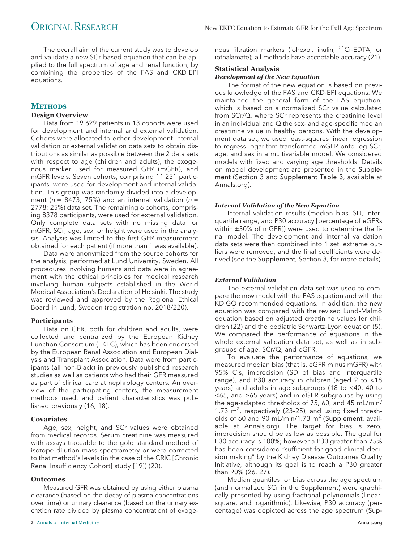The overall aim of the current study was to develop and validate a new SCr-based equation that can be applied to the full spectrum of age and renal function, by combining the properties of the FAS and CKD-EPI equations.

### **METHODS**

#### **Design Overview**

Data from 19 629 patients in 13 cohorts were used for development and internal and external validation. Cohorts were allocated to either development–internal validation or external validation data sets to obtain distributions as similar as possible between the 2 data sets with respect to age (children and adults), the exogenous marker used for measured GFR (mGFR), and mGFR levels. Seven cohorts, comprising 11 251 participants, were used for development and internal validation. This group was randomly divided into a development ( $n = 8473$ ; 75%) and an internal validation ( $n =$ 2778; 25%) data set. The remaining 6 cohorts, comprising 8378 participants, were used for external validation. Only complete data sets with no missing data for mGFR, SCr, age, sex, or height were used in the analysis. Analysis was limited to the first GFR measurement obtained for each patient (if more than 1 was available).

Data were anonymized from the source cohorts for the analysis, performed at Lund University, Sweden. All procedures involving humans and data were in agreement with the ethical principles for medical research involving human subjects established in the World Medical Association's Declaration of Helsinki. The study was reviewed and approved by the Regional Ethical Board in Lund, Sweden (registration no. 2018/220).

#### **Participants**

Data on GFR, both for children and adults, were collected and centralized by the European Kidney Function Consortium (EKFC), which has been endorsed by the European Renal Association and European Dialysis and Transplant Association. Data were from participants (all non-Black) in previously published research studies as well as patients who had their GFR measured as part of clinical care at nephrology centers. An overview of the participating centers, the measurement methods used, and patient characteristics was published previously (16, 18).

#### **Covariates**

Age, sex, height, and SCr values were obtained from medical records. Serum creatinine was measured with assays traceable to the gold standard method of isotope dilution mass spectrometry or were corrected to that method's levels (in the case of the CRIC [Chronic Renal Insufficiency Cohort] study [19]) (20).

#### **Outcomes**

Measured GFR was obtained by using either plasma clearance (based on the decay of plasma concentrations over time) or urinary clearance (based on the urinary excretion rate divided by plasma concentration) of exoge-

nous filtration markers (iohexol, inulin, 51Cr-EDTA, or iothalamate); all methods have acceptable accuracy (21).

### **Statistical Analysis**

#### *Development of the New Equation*

The format of the new equation is based on previous knowledge of the FAS and CKD-EPI equations. We maintained the general form of the FAS equation, which is based on a normalized SCr value calculated from SCr/Q, where SCr represents the creatinine level in an individual and Q the sex- and age-specific median creatinine value in healthy persons. With the development data set, we used least-squares linear regression to regress logarithm-transformed mGFR onto log SCr, age, and sex in a multivariable model. We considered models with fixed and varying age thresholds. Details on model development are presented in the Supplement (Section 3 and Supplement Table 3, available at [Annals.org\)](http://www.annals.org).

#### *Internal Validation of the New Equation*

Internal validation results (median bias, SD, interquartile range, and P30 accuracy [percentage of eGFRs within ±30% of mGFR]) were used to determine the final model. The development and internal validation data sets were then combined into 1 set, extreme outliers were removed, and the final coefficients were derived (see the Supplement, Section 3, for more details).

#### *External Validation*

The external validation data set was used to compare the new model with the FAS equation and with the KDIGO-recommended equations. In addition, the new equation was compared with the revised Lund-Malmö equation based on adjusted creatinine values for children (22) and the pediatric Schwartz–Lyon equation (5). We compared the performance of equations in the whole external validation data set, as well as in subgroups of age, SCr/Q, and eGFR.

To evaluate the performance of equations, we measured median bias (that is, eGFR minus mGFR) with 95% CIs, imprecision (SD of bias and interquartile range), and P30 accuracy in children (aged 2 to <18 years) and adults in age subgroups (18 to <40, 40 to <65, and ≥65 years) and in eGFR subgroups by using the age-adapted thresholds of 75, 60, and 45 mL/min/ 1.73  $\mathrm{m}^2$ , respectively (23-25), and using fixed thresholds of 60 and 90 mL/min/1.73  $m^2$  (Supplement, available at [Annals.org\)](http://www.annals.org). The target for bias is zero; imprecision should be as low as possible. The goal for P30 accuracy is 100%; however a P30 greater than 75% has been considered "sufficient for good clinical decision making" by the Kidney Disease Outcomes Quality Initiative, although its goal is to reach a P30 greater than 90% (26, 27).

Median quantiles for bias across the age spectrum (and normalized SCr in the Supplement) were graphically presented by using fractional polynomials (linear, square, and logarithmic). Likewise, P30 accuracy (percentage) was depicted across the age spectrum (Sup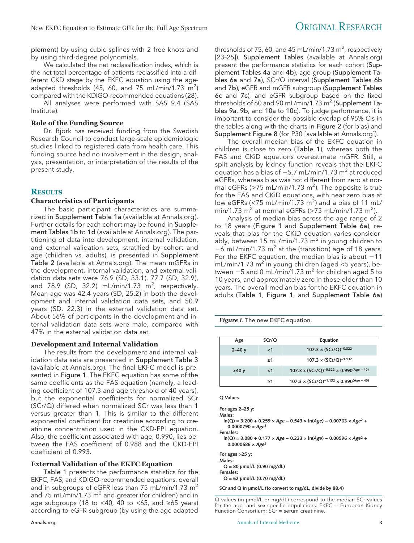plement) by using cubic splines with 2 free knots and by using third-degree polynomials.

We calculated the net reclassification index, which is the net total percentage of patients reclassified into a different CKD stage by the EKFC equation using the ageadapted thresholds (45, 60, and 75 mL/min/1.73  $m^2$ ) compared with the KDIGO-recommended equations (28).

All analyses were performed with SAS 9.4 (SAS Institute).

#### **Role of the Funding Source**

Dr. Björk has received funding from the Swedish Research Council to conduct large-scale epidemiologic studies linked to registered data from health care. This funding source had no involvement in the design, analysis, presentation, or interpretation of the results of the present study.

#### **RESULTS**

#### **Characteristics of Participants**

The basic participant characteristics are summarized in Supplement Table 1a (available at [Annals.org\)](http://www.annals.org). Further details for each cohort may be found in Supplement Tables 1b to 1d (available at [Annals.org\)](http://www.annals.org). The partitioning of data into development, internal validation, and external validation sets, stratified by cohort and age (children vs. adults), is presented in Supplement Table 2 (available at [Annals.org\)](http://www.annals.org). The mean mGFRs in the development, internal validation, and external validation data sets were 76.9 (SD, 33.1), 77.7 (SD, 32.9), and 78.9 (SD, 32.2) mL/min/1.73  $m^2$ , respectively. Mean age was 42.4 years (SD, 25.2) in both the development and internal validation data sets, and 50.9 years (SD, 22.3) in the external validation data set. About 56% of participants in the development and internal validation data sets were male, compared with 47% in the external validation data set.

#### **Development and Internal Validation**

The results from the development and internal validation data sets are presented in Supplement Table 3 (available at [Annals.org\)](http://www.annals.org). The final EKFC model is presented in Figure 1. The EKFC equation has some of the same coefficients as the FAS equation (namely, a leading coefficient of 107.3 and age threshold of 40 years), but the exponential coefficients for normalized SCr (SCr/Q) differed when normalized SCr was less than 1 versus greater than 1. This is similar to the different exponential coefficient for creatinine according to creatinine concentration used in the CKD-EPI equation. Also, the coefficient associated with age, 0.990, lies between the FAS coefficient of 0.988 and the CKD-EPI coefficient of 0.993.

#### **External Validation of the EKFC Equation**

Table 1 presents the performance statistics for the EKFC, FAS, and KDIGO-recommended equations, overall and in subgroups of eGFR less than 75 mL/min/1.73  $m<sup>2</sup>$ and 75 mL/min/1.73 m<sup>2</sup> and greater (for children) and in age subgroups (18 to <40, 40 to <65, and  $\geq 65$  years) according to eGFR subgroup (by using the age-adapted

thresholds of 75, 60, and 45 mL/min/1.73  $\textsf{m}^2$ , respectively [23–25]). Supplement Tables (available at [Annals.org\)](http://www.annals.org) present the performance statistics for each cohort (Supplement Tables 4a and 4b), age group (Supplement Tables 6a and 7a), SCr/Q interval (Supplement Tables 6b and 7b), eGFR and mGFR subgroup (Supplement Tables 6c and 7c), and eGFR subgroup based on the fixed thresholds of 60 and 90 mL/min/1.73 m<sup>2</sup> (Supplement Tables 9a, 9b, and 10a to 10c). To judge performance, it is important to consider the possible overlap of 95% CIs in the tables along with the charts in Figure 2 (for bias) and Supplement Figure 8 (for P30 [available at [Annals.org\]](http://www.annals.org)).

The overall median bias of the EKFC equation in children is close to zero (Table 1), whereas both the FAS and CKiD equations overestimate mGFR. Still, a split analysis by kidney function reveals that the EKFC equation has a bias of  $-5.7$  mL/min/1.73 m<sup>2</sup> at reduced eGFRs, whereas bias was not different from zero at normal eGFRs (>75 mL/min/1.73 m<sup>2</sup>). The opposite is true for the FAS and CKiD equations, with near zero bias at low eGFRs (<75 mL/min/1.73 m<sup>2</sup>) and a bias of 11 mL/ min/1.73  $m^2$  at normal eGFRs (>75 mL/min/1.73  $m^2$ ).

Analysis of median bias across the age range of 2 to 18 years (Figure 1 and Supplement Table 6a), reveals that bias for the CKiD equation varies considerably, between 15 mL/min/1.73  $\mathrm{m}^2$  in young children to  $-6$  mL/min/1.73 m<sup>2</sup> at the (transition) age of 18 years. For the EKFC equation, the median bias is about  $-11$  $mL/min/1.73$  m<sup>2</sup> in young children (aged <5 years), between  $-5$  and 0 mL/min/1.73 m<sup>2</sup> for children aged 5 to 10 years, and approximately zero in those older than 10 years. The overall median bias for the EKFC equation in adults (Table 1, Figure 1, and Supplement Table 6a)

*Figure 1.* The new EKFC equation.

| Age       | SCr/Q    | Equation                                                           |  |  |  |
|-----------|----------|--------------------------------------------------------------------|--|--|--|
| $2 - 40y$ | $\leq$ 1 | $107.3 \times (SCr/Q)^{-0.322}$                                    |  |  |  |
|           | >1       | 107.3 x (SCr/Q) <sup>-1.132</sup>                                  |  |  |  |
| >40y      | $\leq$ 1 | 107.3 x (SCr/Q) <sup>-0.322</sup> x 0.990 <sup>(Age - 40)</sup>    |  |  |  |
|           | >1       | $107.3 \times (SCr/Q)^{-1.132} \times 0.990$ <sup>(Age - 40)</sup> |  |  |  |

**Q Values**

**For ages 2–25 y: Males: ln(Q) = 3.200 + 0.259 × Age − 0.543 × ln(Age) − 0.00763 × Age2 + 0.0000790 × Age<sup>3</sup> Females: ln(Q) = 3.080 + 0.177 × Age − 0.223 × ln(Age) − 0.00596 × Age2 + 0.0000686 × Age<sup>3</sup> For ages >25 y: Males: Q = 80 µmol/L (0.90 mg/dL) Females: Q = 62 µmol/L (0.70 mg/dL) SCr and Q in µmol/L (to convert to mg/dL, divide by 88.4)**

Q values (in μmol/L or mg/dL) correspond to the median SCr values for the age- and sex-specific populations. EKFC = European Kidney Function Consortium; SCr = serum creatinine.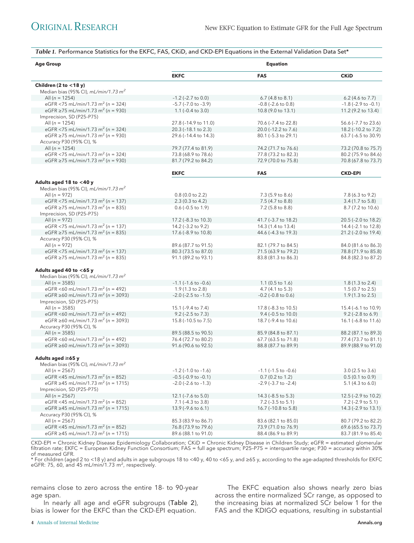*Table 1.* Performance Statistics for the EKFC, FAS, CKiD, and CKD-EPI Equations in the External Validation Data Set\*

| <b>Age Group</b>                                  | <b>Equation</b>              |                             |                             |  |
|---------------------------------------------------|------------------------------|-----------------------------|-----------------------------|--|
|                                                   | <b>EKFC</b>                  | <b>FAS</b>                  | <b>CKiD</b>                 |  |
| Children (2 to $<$ 18 y)                          |                              |                             |                             |  |
| Median bias (95% CI), $mL/min/1.73$ $m2$          |                              |                             |                             |  |
| All ( $n = 1254$ )                                | $-1.2$ ( $-2.7$ to 0.0)      | $6.7(4.8 \text{ to } 8.1)$  | $6.2$ (4.6 to 7.7)          |  |
| eGFR <75 mL/min/1.73 m <sup>2</sup> (n = 324)     | $-5.7$ ( $-7.0$ to $-3.9$ )  | $-0.8$ ( $-2.6$ to $0.8$ )  | $-1.8$ ( $-2.9$ to $-0.1$ ) |  |
| eGFR ≥75 mL/min/1.73 m <sup>2</sup> (n = 930)     | 1.1 $(-0.4 \text{ to } 3.0)$ | 10.8 (9.0 to 13.1)          | 11.2 (9.2 to 13.4)          |  |
| Imprecision, SD (P25-P75)                         |                              |                             |                             |  |
| All ( $n = 1254$ )                                | 27.8 (-14.9 to 11.0)         | 70.6 (-7.4 to 22.8)         | 56.6 (-7.7 to 23.6)         |  |
| eGFR <75 mL/min/1.73 m <sup>2</sup> (n = 324)     | 20.3 (-18.1 to 2.3)          | 20.0 (-12.2 to 7.6)         | 18.2 (-10.2 to 7.2)         |  |
| eGFR ≥75 mL/min/1.73 m <sup>2</sup> (n = 930)     | 29.6 (-14.4 to 14.3)         | 80.1 (-5.3 to 29.1)         | 63.7 (-6.5 to 30.9)         |  |
| Accuracy P30 (95% CI), %                          |                              |                             |                             |  |
| All $(n = 1254)$                                  | 79.7 (77.4 to 81.9)          | 74.2 (71.7 to 76.6)         | 73.2 (70.8 to 75.7)         |  |
| eGFR <75 mL/min/1.73 m <sup>2</sup> (n = 324)     | 73.8 (68.9 to 78.6)          | 77.8 (73.2 to 82.3)         | 80.2 (75.9 to 84.6)         |  |
| eGFR ≥75 mL/min/1.73 m <sup>2</sup> (n = 930)     | 81.7 (79.2 to 84.2)          | 72.9 (70.0 to 75.8)         | 70.8 (67.8 to 73.7)         |  |
|                                                   | <b>EKFC</b>                  | <b>FAS</b>                  | <b>CKD-EPI</b>              |  |
|                                                   |                              |                             |                             |  |
| Adults aged 18 to $<$ 40 y                        |                              |                             |                             |  |
| Median bias (95% CI), $mL/min/1.73$ $m2$          |                              |                             |                             |  |
| All $(n = 972)$                                   | $0.8$ (0.0 to 2.2)           | 7.3 (5.9 to 8.6)            | 7.8 (6.3 to 9.2)            |  |
| eGFR <75 mL/min/1.73 m <sup>2</sup> (n = 137)     | $2.3(0.3 \text{ to } 4.2)$   | 7.5 (4.7 to 8.8)            | $3.4(1.7 \text{ to } 5.8)$  |  |
| eGFR ≥75 mL/min/1.73 m <sup>2</sup> (n = 835)     | $0.6$ ( $-0.5$ to $1.9$ )    | 7.2 (5.8 to 8.8)            | 8.7 (7.2 to 10.6)           |  |
| Imprecision, SD (P25-P75)                         |                              |                             |                             |  |
| All $(n = 972)$                                   | 17.2 (-8.3 to 10.3)          | 41.7 (-3.7 to 18.2)         | 20.5 (-2.0 to 18.2)         |  |
| eGFR <75 mL/min/1.73 m <sup>2</sup> ( $n = 137$ ) | 14.2 (-3.2 to 9.2)           | 14.3 (1.4 to 13.4)          | 14.4 (-2.1 to 12.8)         |  |
| eGFR ≥75 mL/min/1.73 m <sup>2</sup> (n = 835)     | 17.6 (-8.9 to 10.8)          | 44.6 (-4.3 to 19.3)         | 21.2 (-2.0 to 19.4)         |  |
| Accuracy P30 (95% CI), %                          |                              |                             |                             |  |
| All $(n = 972)$                                   | 89.6 (87.7 to 91.5)          | 82.1 (79.7 to 84.5)         | 84.0 (81.6 to 86.3)         |  |
| eGFR <75 mL/min/1.73 m <sup>2</sup> (n = 137)     | 80.3 (73.5 to 87.0)          | 71.5 (63.9 to 79.2)         | 78.8 (71.9 to 85.8)         |  |
| eGFR ≥75 mL/min/1.73 m <sup>2</sup> (n = 835)     | 91.1 (89.2 to 93.1)          | 83.8 (81.3 to 86.3)         | 84.8 (82.3 to 87.2)         |  |
| Adults aged 40 to $<$ 65 y                        |                              |                             |                             |  |
| Median bias (95% CI), $mL/min/1.73$ $m2$          |                              |                             |                             |  |
| All ( $n = 3585$ )                                | $-1.1$ ( $-1.6$ to $-0.6$ )  | $1.1$ (0.5 to 1.6)          | $1.8(1.3 \text{ to } 2.4)$  |  |
| eGFR <60 mL/min/1.73 m <sup>2</sup> ( $n = 492$ ) | $1.9(1.3 \text{ to } 2.8)$   | 4.7 (4.1 to 5.3)            | $1.5(0.7 \text{ to } 2.5)$  |  |
| eGFR ≥60 mL/min/1.73 m <sup>2</sup> (n = 3093)    | $-2.0$ ( $-2.5$ to $-1.5$ )  | $-0.2$ ( $-0.8$ to $0.6$ )  | $1.9(1.3 \text{ to } 2.5)$  |  |
| Imprecision, SD (P25-P75)                         |                              |                             |                             |  |
| All ( $n = 3585$ )                                | 15.1 (-9.4 to 7.4)           | 17.8 (-8.3 to 10.5)         | 15.4 (-6.1 to 10.9)         |  |
| eGFR <60 mL/min/1.73 m <sup>2</sup> (n = 492)     | $9.2$ (-2.5 to 7.3)          | $9.4$ (-0.5 to 10.0)        | $9.2$ (-2.8 to 6.9)         |  |
| eGFR ≥60 mL/min/1.73 m <sup>2</sup> (n = 3093)    | 15.8 (-10.5 to 7.5)          | 18.7 (-9.4 to 10.6)         | 16.1 (-6.8 to 11.6)         |  |
| Accuracy P30 (95% CI), %                          |                              |                             |                             |  |
| All $(n = 3585)$                                  | 89.5 (88.5 to 90.5)          | 85.9 (84.8 to 87.1)         | 88.2 (87.1 to 89.3)         |  |
| eGFR <60 mL/min/1.73 m <sup>2</sup> ( $n = 492$ ) | 76.4 (72.7 to 80.2)          | 67.7 (63.5 to 71.8)         | 77.4 (73.7 to 81.1)         |  |
| eGFR ≥60 mL/min/1.73 m <sup>2</sup> (n = 3093)    | 91.6 (90.6 to 92.5)          | 88.8 (87.7 to 89.9)         | 89.9 (88.9 to 91.0)         |  |
|                                                   |                              |                             |                             |  |
| Adults aged $\geq 65$ y                           |                              |                             |                             |  |
| Median bias (95% CI), mL/min/1.73 m <sup>2</sup>  |                              |                             |                             |  |
| All ( $n = 2567$ )                                | $-1.2$ ( $-1.0$ to $-1.6$ )  | $-1.1$ ( $-1.5$ to $-0.6$ ) | $3.0$ (2.5 to 3.6)          |  |
| eGFR <45 mL/min/1.73 m <sup>2</sup> (n = 852)     | $-0.5$ ( $-0.9$ to $-0.1$ )  | $0.7$ (0.2 to 1.2)          | $0.5(0.1 \text{ to } 0.9)$  |  |
| eGFR ≥45 mL/min/1.73 m <sup>2</sup> (n = 1715)    | $-2.0$ ( $-2.6$ to $-1.3$ )  | $-2.9$ ( $-3.7$ to $-2.4$ ) | 5.1 $(4.3 \text{ to } 6.0)$ |  |
| Imprecision, SD (P25-P75)                         |                              |                             |                             |  |
| All ( $n = 2567$ )                                | $12.1$ ( $-7.6$ to $5.0$ )   | 14.3 (-8.5 to 5.3)          | 12.5 (-2.9 to 10.2)         |  |
| eGFR <45 mL/min/1.73 m <sup>2</sup> (n = 852)     |                              |                             |                             |  |
| eGFR ≥45 mL/min/1.73 m <sup>2</sup> (n = 1715)    | $7.1$ (-4.3 to 3.8)          | $7.2$ (-3.5 to 5.1)         | $7.2$ (-2.9 to 5.1)         |  |
|                                                   | $13.9$ (-9.6 to 6.1)         | 16.7 (-10.8 to 5.8)         | 14.3 (-2.9 to 13.1)         |  |
| Accuracy P30 (95% CI), %                          |                              |                             |                             |  |
| All ( $n = 2567$ )                                | 85.3 (83.9 to 86.7)          | 83.6 (82.1 to 85.0)         | 80.7 (79.2 to 82.2)         |  |
| eGFR <45 mL/min/1.73 m <sup>2</sup> (n = 852)     | 76.8 (73.9 to 79.6)          | 73.9 (71.0 to 76.9)         | 69.6 (65.5 to 73.7)         |  |
| eGFR ≥45 mL/min/1.73 m <sup>2</sup> (n = 1715)    | 89.6 (88.1 to 91.0)          | 88.4 (86.9 to 89.9)         | 83.7 (81.9 to 85.4)         |  |

CKD-EPI = Chronic Kidney Disease Epidemiology Collaboration; CKiD = Chronic Kidney Disease in Children Study; eGFR = estimated glomerular filtration rate; EKFC = European Kidney Function Consortium; FAS = full age spectrum; P25-P75 = interquartile range; P30 = accuracy within 30% of measured GFR.

\* For children (aged 2 to <18 y) and adults in age subgroups 18 to <40 y, 40 to <65 y, and ≥65 y, according to the age-adapted thresholds for EKFC eGFR: 75, 60, and 45 mL/min/1.73 m<sup>2</sup>, respectively.

remains close to zero across the entire 18- to 90-year age span.

In nearly all age and eGFR subgroups (Table 2), bias is lower for the EKFC than the CKD-EPI equation.

The EKFC equation also shows nearly zero bias across the entire normalized SCr range, as opposed to the increasing bias at normalized SCr below 1 for the FAS and the KDIGO equations, resulting in substantial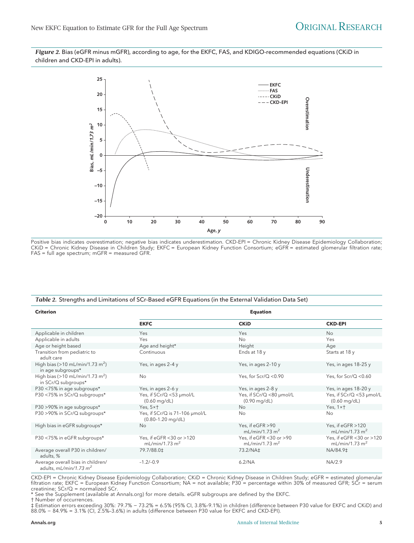*Figure 2.* Bias (eGFR minus mGFR), according to age, for the EKFC, FAS, and KDIGO-recommended equations (CKiD in children and CKD-EPI in adults).



Positive bias indicates overestimation; negative bias indicates underestimation. CKD-EPI = Chronic Kidney Disease Epidemiology Collaboration; CKiD = Chronic Kidney Disease in Children Study; EKFC = European Kidney Function Consortium; eGFR = estimated glomerular filtration rate; FAS = full age spectrum; mGFR = measured GFR.

#### *Table 2.* Strengths and Limitations of SCr-Based eGFR Equations (in the External Validation Data Set)

| <b>Criterion</b>                                                   | <b>Equation</b>                                         |                                                       |                                                        |  |  |
|--------------------------------------------------------------------|---------------------------------------------------------|-------------------------------------------------------|--------------------------------------------------------|--|--|
|                                                                    | <b>EKFC</b>                                             | <b>CKiD</b>                                           | <b>CKD-EPI</b>                                         |  |  |
| Applicable in children                                             | Yes                                                     | Yes                                                   | No                                                     |  |  |
| Applicable in adults                                               | Yes                                                     | No                                                    | Yes                                                    |  |  |
| Age or height based                                                | Age and height*                                         | Height                                                | Age                                                    |  |  |
| Transition from pediatric to<br>adult care                         | Continuous                                              | Ends at 18 y                                          | Starts at 18 y                                         |  |  |
| High bias (>10 mL/min/1.73 m <sup>2</sup> )<br>in age subgroups*   | Yes, in ages 2-4 y                                      | Yes, in ages 2-10 y                                   | Yes, in ages 18-25 y                                   |  |  |
| High bias (>10 mL/min/1.73 m <sup>2</sup> )<br>in SCr/Q subgroups* | No                                                      | Yes, for $Scr/Q < 0.90$                               | Yes, for $Scr/Q < 0.60$                                |  |  |
| P30 <75% in age subgroups*                                         | Yes, in ages 2-6 y                                      | Yes, in ages 2-8 y                                    | Yes, in ages 18-20 y                                   |  |  |
| P30 <75% in SCr/Q subgroups*                                       | Yes, if SCr/Q <53 µmol/L<br>$(0.60 \text{ mg/dL})$      | Yes, if SCr/Q <80 µmol/L<br>$(0.90 \text{ mg/dL})$    | Yes, if SCr/Q <53 µmol/L<br>$(0.60 \text{ mg/dL})$     |  |  |
| P30 >90% in age subgroups*                                         | Yes, $5 \times 1$                                       | No                                                    | Yes, $1 \times 1$                                      |  |  |
| P30 >90% in SCr/Q subgroups*                                       | Yes, if SCr/Q is 71-106 µmol/L<br>$(0.80 - 1.20$ mg/dL) | No                                                    | No                                                     |  |  |
| High bias in eGFR subgroups*                                       | <b>No</b>                                               | Yes, if eGFR >90<br>mL/min/1.73 m <sup>2</sup>        | Yes, if eGFR >120<br>mL/min/1.73 m <sup>2</sup>        |  |  |
| P30 <75% in eGFR subgroups*                                        | Yes, if eGFR <30 or >120<br>mL/min/1.73 m <sup>2</sup>  | Yes, if eGFR <30 or >90<br>mL/min/1.73 m <sup>2</sup> | Yes, if eGFR <30 or >120<br>mL/min/1.73 m <sup>2</sup> |  |  |
| Average overall P30 in children/<br>adults, %                      | 79.7/88.0‡                                              | 73.2/NA‡                                              | NA/84.9‡                                               |  |  |
| Average overall bias in children/<br>adults, $mL/min/1.73 m2$      | $-1.2/-0.9$                                             | 6.2/NA                                                | NA/2.9                                                 |  |  |

CKD-EPI = Chronic Kidney Disease Epidemiology Collaboration; CKiD = Chronic Kidney Disease in Children Study; eGFR = estimated glomerular filtration rate; EKFC = European Kidney Function Consortium; NA = not available; P30 = percentage within 30% of measured GFR; SCr = serum creatinine; SCr/Q = normalized SCr.

\* See the Supplement (available at [Annals.org\)](http://www.annals.org) for more details. eGFR subgroups are defined by the EKFC.

† Number of occurrences.

‡ Estimation errors exceeding 30%: 79.7% − 73.2% = 6.5% (95% CI, 3.8%–9.1%) in children (difference between P30 value for EKFC and CKiD) and 88.0% − 84.9% = 3.1% (CI, 2.5%–3.6%) in adults (difference between P30 value for EKFC and CKD-EPI).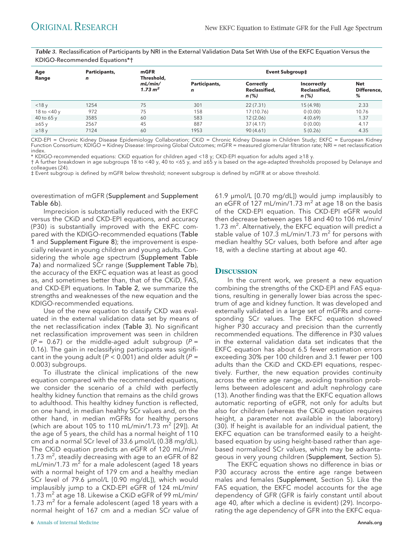*Table 3.* Reclassification of Participants by NRI in the External Validation Data Set With Use of the EKFC Equation Versus the KDIGO-Recommended Equations\*†

| Age<br>Range   | Participants,<br>$\mathbf n$ | mGFR<br>Threshold,<br>mL/min/<br>$1.73 \text{ m}^2$ | <b>Event Subgroup‡</b>       |                                       |                                       |                         |
|----------------|------------------------------|-----------------------------------------------------|------------------------------|---------------------------------------|---------------------------------------|-------------------------|
|                |                              |                                                     | Participants,<br>$\mathbf n$ | Correctly<br>Reclassified,<br>$n$ (%) | Incorrectly<br>Reclassified,<br>n (%) | Net<br>Difference,<br>% |
| $<$ 18 $v$     | 1254                         | 75                                                  | 301                          | 22(7.31)                              | 15 (4.98)                             | 2.33                    |
| 18 to $<$ 40 y | 972                          | 75                                                  | 158                          | 17 (10.76)                            | 0(0.00)                               | 10.76                   |
| 40 to 65 y     | 3585                         | 60                                                  | 583                          | 12(2.06)                              | 4(0.69)                               | 1.37                    |
| $\geq 65$ y    | 2567                         | 45                                                  | 887                          | 37(4.17)                              | 0(0.00)                               | 4.17                    |
| $\geq$ 18 y    | 7124                         | 60                                                  | 1953                         | 90(4.61)                              | 5(0.26)                               | 4.35                    |

CKD-EPI = Chronic Kidney Disease Epidemiology Collaboration; CKiD = Chronic Kidney Disease in Children Study; EKFC = European Kidney Function Consortium; KDIGO = Kidney Disease: Improving Global Outcomes; mGFR = measured glomerular filtration rate; NRI = net reclassification index.

\* KDIGO-recommended equations: CKiD equation for children aged <18 y; CKD-EPI equation for adults aged ≥18 y.

† A further breakdown in age subgroups 18 to <40 y, 40 to <65 y, and ≥65 y is based on the age-adapted thresholds proposed by Delanaye and colleagues (24).

‡ Event subgroup is defined by mGFR below threshold; nonevent subgroup is defined by mGFR at or above threshold.

overestimation of mGFR (Supplement and Supplement Table 6b).

Imprecision is substantially reduced with the EKFC versus the CKiD and CKD-EPI equations, and accuracy (P30) is substantially improved with the EKFC compared with the KDIGO-recommended equations (Table 1 and Supplement Figure 8); the improvement is especially relevant in young children and young adults. Considering the whole age spectrum (Supplement Table 7a) and normalized SCr range (Supplement Table 7b), the accuracy of the EKFC equation was at least as good as, and sometimes better than, that of the CKiD, FAS, and CKD-EPI equations. In Table 2, we summarize the strengths and weaknesses of the new equation and the KDIGO-recommended equations.

Use of the new equation to classify CKD was evaluated in the external validation data set by means of the net reclassification index (Table 3). No significant net reclassification improvement was seen in children  $(P = 0.67)$  or the middle-aged adult subgroup  $(P = 0.67)$ 0.16). The gain in reclassifying participants was significant in the young adult ( $P < 0.001$ ) and older adult ( $P =$ 0.003) subgroups.

To illustrate the clinical implications of the new equation compared with the recommended equations, we consider the scenario of a child with perfectly healthy kidney function that remains as the child grows to adulthood. This healthy kidney function is reflected, on one hand, in median healthy SCr values and, on the other hand, in median mGFRs for healthy persons (which are about 105 to 110 mL/min/1.73  $\text{m}^2$  [29]). At the age of 5 years, the child has a normal height of 110 cm and a normal SCr level of 33.6 μmol/L (0.38 mg/dL). The CKiD equation predicts an eGFR of 120 mL/min/ 1.73  $m^2$ , steadily decreasing with age to an eGFR of 82  $mL/min/1.73$  m<sup>2</sup> for a male adolescent (aged 18 years with a normal height of 179 cm and a healthy median SCr level of 79.6 μmol/L [0.90 mg/dL]), which would implausibly jump to a CKD-EPI eGFR of 124 mL/min/ 1.73 m<sup>2</sup> at age 18. Likewise a CKiD eGFR of 99 mL/min/ 1.73  $m<sup>2</sup>$  for a female adolescent (aged 18 years with a normal height of 167 cm and a median SCr value of

61.9 μmol/L [0.70 mg/dL]) would jump implausibly to an eGFR of 127 mL/min/1.73 m<sup>2</sup> at age 18 on the basis of the CKD-EPI equation. This CKD-EPI eGFR would then decrease between ages 18 and 40 to 106 mL/min/ 1.73 m<sup>2</sup>. Alternatively, the EKFC equation will predict a stable value of 107.3 mL/min/1.73  $m^2$  for persons with median healthy SCr values, both before and after age 18, with a decline starting at about age 40.

### **DISCUSSION**

In the current work, we present a new equation combining the strengths of the CKD-EPI and FAS equations, resulting in generally lower bias across the spectrum of age and kidney function. It was developed and externally validated in a large set of mGFRs and corresponding SCr values. The EKFC equation showed higher P30 accuracy and precision than the currently recommended equations. The difference in P30 values in the external validation data set indicates that the EKFC equation has about 6.5 fewer estimation errors exceeding 30% per 100 children and 3.1 fewer per 100 adults than the CKiD and CKD-EPI equations, respectively. Further, the new equation provides continuity across the entire age range, avoiding transition problems between adolescent and adult nephrology care (13). Another finding was that the EKFC equation allows automatic reporting of eGFR, not only for adults but also for children (whereas the CKiD equation requires height, a parameter not available in the laboratory) (30). If height is available for an individual patient, the EKFC equation can be transformed easily to a heightbased equation by using height-based rather than agebased normalized SCr values, which may be advantageous in very young children (Supplement, Section 5).

The EKFC equation shows no difference in bias or P30 accuracy across the entire age range between males and females (Supplement, Section 5). Like the FAS equation, the EKFC model accounts for the age dependency of GFR (GFR is fairly constant until about age 40, after which a decline is evident) (29). Incorporating the age dependency of GFR into the EKFC equa-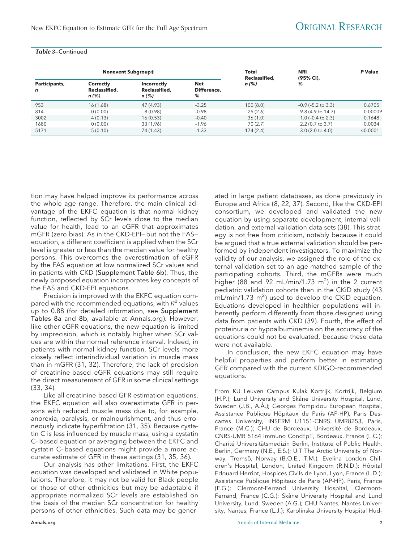#### *Table 3*—Continued

| <b>Nonevent Subgroup‡</b> |                                            |                                                | Total<br>Reclassified,  | <b>NRI</b><br>(95% CI). | P Value                    |          |
|---------------------------|--------------------------------------------|------------------------------------------------|-------------------------|-------------------------|----------------------------|----------|
| Participants,<br>n        | <b>Correctly</b><br>Reclassified,<br>n (%) | <b>Incorrectly</b><br>Reclassified,<br>$n$ (%) | Net<br>Difference.<br>% | $n$ (%)                 | %                          |          |
| 953                       | 16(1.68)                                   | 47 (4.93)                                      | $-3.25$                 | 100(8.0)                | $-0.9$ ( $-5.2$ to 3.3)    | 0.6705   |
| 814                       | 0(0.00)                                    | 8(0.98)                                        | $-0.98$                 | 25(2.6)                 | 9.8 (4.9 to 14.7)          | 0.00009  |
| 3002                      | 4(0.13)                                    | 16(0.53)                                       | $-0.40$                 | 36(1.0)                 | $1.0$ (-0.4 to 2.3)        | 0.1648   |
| 1680                      | 0(0.00)                                    | 33 (1.96)                                      | $-1.96$                 | 70(2.7)                 | $2.2(0.7 \text{ to } 3.7)$ | 0.0034   |
| 5171                      | 5(0.10)                                    | 74 (1.43)                                      | $-1.33$                 | 174(2.4)                | $3.0(2.0 \text{ to } 4.0)$ | < 0.0001 |

tion may have helped improve its performance across the whole age range. Therefore, the main clinical advantage of the EKFC equation is that normal kidney function, reflected by SCr levels close to the median value for health, lead to an eGFR that approximates mGFR (zero bias). As in the CKD-EPI—but not the FAS equation, a different coefficient is applied when the SCr level is greater or less than the median value for healthy persons. This overcomes the overestimation of eGFR by the FAS equation at low normalized SCr values and in patients with CKD (Supplement Table 6b). Thus, the newly proposed equation incorporates key concepts of the FAS and CKD-EPI equations.

Precision is improved with the EKFC equation compared with the recommended equations, with  $R^2$  values up to 0.88 (for detailed information, see Supplement Tables 8a and 8b, available at [Annals.org\)](http://www.annals.org). However, like other eGFR equations, the new equation is limited by imprecision, which is notably higher when SCr values are within the normal reference interval. Indeed, in patients with normal kidney function, SCr levels more closely reflect interindividual variation in muscle mass than in mGFR (31, 32). Therefore, the lack of precision of creatinine-based eGFR equations may still require the direct measurement of GFR in some clinical settings (33, 34).

Like all creatinine-based GFR estimation equations, the EKFC equation will also overestimate GFR in persons with reduced muscle mass due to, for example, anorexia, paralysis, or malnourishment, and thus erroneously indicate hyperfiltration (31, 35). Because cystatin C is less influenced by muscle mass, using a cystatin C–based equation or averaging between the EKFC and cystatin C–based equations might provide a more accurate estimate of GFR in these settings (31, 35, 36).

Our analysis has other limitations. First, the EKFC equation was developed and validated in White populations. Therefore, it may not be valid for Black people or those of other ethnicities but may be adaptable if appropriate normalized SCr levels are established on the basis of the median SCr concentration for healthy persons of other ethnicities. Such data may be gener-

ated in large patient databases, as done previously in Europe and Africa (8, 22, 37). Second, like the CKD-EPI consortium, we developed and validated the new equation by using separate development, internal validation, and external validation data sets (38). This strategy is not free from criticism, notably because it could be argued that a true external validation should be performed by independent investigators. To maximize the validity of our analysis, we assigned the role of the external validation set to an age-matched sample of the participating cohorts. Third, the mGFRs were much higher (88 and 92 mL/min/1.73  $m^2$ ) in the 2 current pediatric validation cohorts than in the CKiD study (43  $mL/min/1.73$   $m^2$ ) used to develop the CKiD equation. Equations developed in healthier populations will inherently perform differently from those designed using data from patients with CKD (39). Fourth, the effect of proteinuria or hypoalbuminemia on the accuracy of the equations could not be evaluated, because these data were not available.

In conclusion, the new EKFC equation may have helpful properties and perform better in estimating GFR compared with the current KDIGO-recommended equations.

From KU Leuven Campus Kulak Kortrijk, Kortrijk, Belgium (H.P.); Lund University and Skåne University Hospital, Lund, Sweden (J.B., A.Å.); Georges Pompidou European Hospital, Assistance Publique Hôpitaux de Paris (AP-HP), Paris Descartes University, INSERM U1151-CNRS UMR8253, Paris, France (M.C.); CHU de Bordeaux, Université de Bordeaux, CNRS-UMR 5164 Immuno ConcEpT, Bordeaux, France (L.C.); Charité Universitätsmedizin Berlin, Institute of Public Health, Berlin, Germany (N.E., E.S.); UiT The Arctic University of Norway, Tromsö, Norway (B.O.E., T.M.); Evelina London Children's Hospital, London, United Kingdom (R.N.D.); Hôpital Edouard Herriot, Hospices Civils de Lyon, Lyon, France (L.D.); Assistance Publique Hôpitaux de Paris (AP-HP), Paris, France (F.G.); Clermont-Ferrand University Hospital, Clermont-Ferrand, France (C.G.); Skåne University Hospital and Lund University, Lund, Sweden (A.G.); CHU Nantes, Nantes University, Nantes, France (L.J.); Karolinska University Hospital Hud-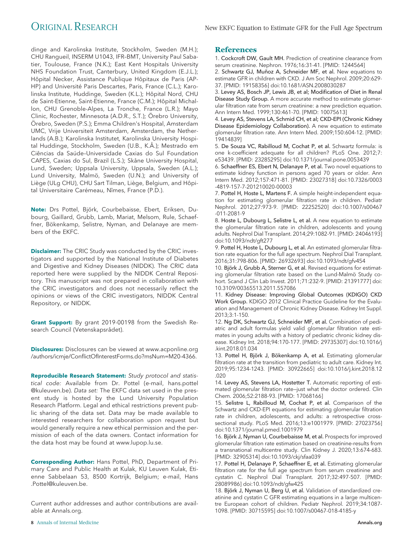dinge and Karolinska Institute, Stockholm, Sweden (M.H.); CHU Rangueil, INSERM U1043, IFR–BMT, University Paul Sabatier, Toulouse, France (N.K.); East Kent Hospitals University NHS Foundation Trust, Canterbury, United Kingdom (E.J.L.); Hôpital Necker, Assistance Publique Hôpitaux de Paris (AP-HP) and Université Paris Descartes, Paris, France (C.L.); Karolinska Institute, Huddinge, Sweden (K.L.); Hôpital Nord, CHU de Saint-Etienne, Saint-Etienne, France (C.M.); Hôpital Michallon, CHU Grenoble-Alpes, La Tronche, France (L.R.); Mayo Clinic, Rochester, Minnesota (A.D.R., S.T.); Örebro University, Örebro, Sweden (P.S.); Emma Children's Hospital, Amsterdam UMC, Vrije Universiteit Amsterdam, Amsterdam, the Netherlands (A.B.); Karolinska Institutet, Karolinska University Hospital Huddinge, Stockholm, Sweden (U.B., K.Å.); Mestrado em Ciências da Saúde-Universidade Caxias do Sul Foundation CAPES, Caxias do Sul, Brazil (L.S.); Skåne University Hospital, Lund, Sweden; Uppsala University, Uppsala, Sweden (A.L.); Lund University, Malmö, Sweden (U.N.); and University of Liège (ULg CHU), CHU Sart Tilman, Liège, Belgium, and Hôpital Universitaire Carémeau, Nîmes, France (P.D.).

Note: Drs Pottel, Björk, Courbebaisse, Ebert, Eriksen, Dubourg, Gaillard, Grubb, Lamb, Mariat, Melsom, Rule, Schaeffner, Bökenkamp, Selistre, Nyman, and Delanaye are members of the EKFC.

**Disclaimer:** The CRIC Study was conducted by the CRIC investigators and supported by the National Institute of Diabetes and Digestive and Kidney Diseases (NIDDK). The CRIC data reported here were supplied by the NIDDK Central Repository. This manuscript was not prepared in collaboration with the CRIC investigators and does not necessarily reflect the opinions or views of the CRIC investigators, NIDDK Central Repository, or NIDDK.

**Grant Support:** By grant 2019-00198 from the Swedish Research Council (Vetenskapsrådet).

**Disclosures:** Disclosures can be viewed at [www.acponline.org](http://www.acponline.org/authors/icmje/ConflictOfInterestForms.do?msNum=M20-4366) [/authors/icmje/ConflictOfInterestForms.do?msNum=M20-4366.](http://www.acponline.org/authors/icmje/ConflictOfInterestForms.do?msNum=M20-4366)

**Reproducible Research Statement:** Study protocol and statistical code: Available from Dr. Pottel (e-mail, [hans.pottel](mailto:hans.pottel@kuleuven.be) [@kuleuven.be\)](mailto:hans.pottel@kuleuven.be). Data set: The EKFC data set used in the present study is hosted by the Lund University Population Research Platform. Legal and ethical restrictions prevent public sharing of the data set. Data may be made available to interested researchers for collaboration upon request but would generally require a new ethical permission and the permission of each of the data owners. Contact information for the data host may be found at [www.lupop.lu.se.](http://www.lupop.lu.se)

**Corresponding Author:** Hans Pottel, PhD, Department of Primary Care and Public Health at Kulak, KU Leuven Kulak, Etienne Sabbelaan 53, 8500 Kortrijk, Belgium; e-mail, [Hans](mailto:Hans.Pottel@kuleuven.be) [.Pottel@kuleuven.be.](mailto:Hans.Pottel@kuleuven.be)

Current author addresses and author contributions are available at [Annals.org.](http://www.annals.org)

1. Cockcroft DW, Gault MH. Prediction of creatinine clearance from serum creatinine. Nephron. 1976;16:31-41. [PMID: 1244564]

2. Schwartz GJ, Muñoz A, Schneider MF, et al. New equations to estimate GFR in children with CKD. J Am Soc Nephrol. 2009;20:629- 37. [PMID: 19158356] doi:10.1681/ASN.2008030287

3. Levey AS, Bosch JP, Lewis JB, et al; Modification of Diet in Renal Disease Study Group. A more accurate method to estimate glomerular filtration rate from serum creatinine: a new prediction equation. Ann Intern Med. 1999;130:461-70. [PMID: 10075613]

4. Levey AS, Stevens LA, Schmid CH, et al; CKD-EPI (Chronic Kidney Disease Epidemiology Collaboration). A new equation to estimate glomerular filtration rate. Ann Intern Med. 2009;150:604-12. [PMID: 19414839]

5. De Souza VC, Rabilloud M, Cochat P, et al. Schwartz formula: is one k-coefficient adequate for all children? PLoS One. 2012;7: e53439. [PMID: 23285295] doi:10.1371/journal.pone.0053439

6. Schaeffner ES, Ebert N, Delanaye P, et al. Two novel equations to estimate kidney function in persons aged 70 years or older. Ann Intern Med. 2012;157:471-81. [PMID: 23027318] doi:10.7326/0003 -4819-157-7-201210020-00003

7. Pottel H, Hoste L, Martens F. A simple height-independent equation for estimating glomerular filtration rate in children. Pediatr Nephrol. 2012;27:973-9. [PMID: 22252520] doi:10.1007/s00467 -011-2081-9

8. Hoste L, Dubourg L, Selistre L, et al. A new equation to estimate the glomerular filtration rate in children, adolescents and young adults. Nephrol Dial Transplant. 2014;29:1082-91. [PMID: 24046193] doi:10.1093/ndt/gft277

9. Pottel H, Hoste L, Dubourg L, et al. An estimated glomerular filtration rate equation for the full age spectrum. Nephrol Dial Transplant. 2016;31:798-806. [PMID: 26932693] doi:10.1093/ndt/gfv454

10. Björk J, Grubb A, Sterner G, et al. Revised equations for estimating glomerular filtration rate based on the Lund-Malmö Study cohort. Scand J Clin Lab Invest. 2011;71:232-9. [PMID: 21391777] doi: 10.3109/00365513.2011.557086

11. Kidney Disease: Improving Global Outcomes (KDIGO) CKD Work Group. KDIGO 2012 Clinical Practice Guideline for the Evaluation and Management of Chronic Kidney Disease. Kidney Int Suppl. 2013;3:1-150.

12. Ng DK, Schwartz GJ, Schneider MF, et al. Combination of pediatric and adult formulas yield valid glomerular filtration rate estimates in young adults with a history of pediatric chronic kidney disease. Kidney Int. 2018;94:170-177. [PMID: 29735307] doi:10.1016/j .kint.2018.01.034

13. Pottel H, Björk J, Bökenkamp A, et al. Estimating glomerular filtration rate at the transition from pediatric to adult care. Kidney Int. 2019;95:1234-1243. [PMID: 30922665] doi:10.1016/j.kint.2018.12 .020

14. Levey AS, Stevens LA, Hostetter T. Automatic reporting of estimated glomerular filtration rate—just what the doctor ordered. Clin Chem. 2006;52:2188-93. [PMID: 17068166]

15. Selistre L, Rabilloud M, Cochat P, et al. Comparison of the Schwartz and CKD-EPI equations for estimating glomerular filtration rate in children, adolescents, and adults: a retrospective crosssectional study. PLoS Med. 2016;13:e1001979. [PMID: 27023756] doi:10.1371/journal.pmed.1001979

16. Björk J, Nyman U, Courbebaisse M, et al. Prospects for improved glomerular filtration rate estimation based on creatinine-results from a transnational multicentre study. Clin Kidney J. 2020;13:674-683. [PMID: 32905314] doi:10.1093/ckj/sfaa039

17. Pottel H, Delanaye P, Schaeffner E, et al. Estimating glomerular filtration rate for the full age spectrum from serum creatinine and cystatin C. Nephrol Dial Transplant. 2017;32:497-507. [PMID: 28089986] doi:10.1093/ndt/gfw425

18. Björk J, Nyman U, Berg U, et al. Validation of standardized creatinine and cystatin C GFR estimating equations in a large multicentre European cohort of children. Pediatr Nephrol. 2019;34:1087- 1098. [PMID: 30715595] doi:10.1007/s00467-018-4185-y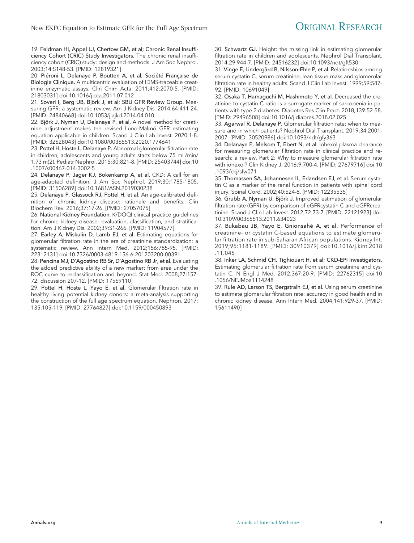19. Feldman HI, Appel LJ, Chertow GM, et al; Chronic Renal Insufficiency Cohort (CRIC) Study Investigators. The chronic renal insufficiency cohort (CRIC) study: design and methods. J Am Soc Nephrol. 2003;14:S148-53. [PMID: 12819321]

20. Piéroni L, Delanaye P, Boutten A, et al; Société Française de Biologie Clinique. A multicentric evaluation of IDMS-traceable creatinine enzymatic assays. Clin Chim Acta. 2011;412:2070-5. [PMID: 21803031] doi:10.1016/j.cca.2011.07.012

21. Soveri I, Berg UB, Björk J, et al; SBU GFR Review Group. Measuring GFR: a systematic review. Am J Kidney Dis. 2014;64:411-24. [PMID: 24840668] doi:10.1053/j.ajkd.2014.04.010

22. Björk J, Nyman U, Delanaye P, et al. A novel method for creatinine adjustment makes the revised Lund-Malmö GFR estimating equation applicable in children. Scand J Clin Lab Invest. 2020:1-8. [PMID: 32628043] doi:10.1080/00365513.2020.1774641

23. Pottel H, Hoste L, Delanaye P. Abnormal glomerular filtration rate in children, adolescents and young adults starts below 75 mL/min/ 1.73 m(2). Pediatr Nephrol. 2015;30:821-8. [PMID: 25403744] doi:10 .1007/s00467-014-3002-5

24. Delanaye P, Jager KJ, Bökenkamp A, et al. CKD: A call for an age-adapted definition. J Am Soc Nephrol. 2019;30:1785-1805. [PMID: 31506289] doi:10.1681/ASN.2019030238

25. Delanaye P, Glassock RJ, Pottel H, et al. An age-calibrated definition of chronic kidney disease: rationale and benefits. Clin Biochem Rev. 2016;37:17-26. [PMID: 27057075]

26. National Kidney Foundation. K/DOQI clinical practice guidelines for chronic kidney disease: evaluation, classification, and stratification. Am J Kidney Dis. 2002;39:S1-266. [PMID: 11904577]

27. Earley A, Miskulin D, Lamb EJ, et al. Estimating equations for glomerular filtration rate in the era of creatinine standardization: a systematic review. Ann Intern Med. 2012;156:785-95. [PMID: 22312131] doi:10.7326/0003-4819-156-6-201203200-00391

28. Pencina MJ, D'Agostino RB Sr, D'Agostino RB Jr, et al. Evaluating the added predictive ability of a new marker: from area under the ROC curve to reclassification and beyond. Stat Med. 2008;27:157- 72; discussion 207-12. [PMID: 17569110]

29. Pottel H, Hoste L, Yayo E, et al. Glomerular filtration rate in healthy living potential kidney donors: a meta-analysis supporting the construction of the full age spectrum equation. Nephron. 2017; 135:105-119. [PMID: 27764827] doi:10.1159/000450893

30. Schwartz GJ. Height: the missing link in estimating glomerular filtration rate in children and adolescents. Nephrol Dial Transplant. 2014;29:944-7. [PMID: 24516232] doi:10.1093/ndt/gft530

31. Vinge E, Lindergård B, Nilsson-Ehle P, et al. Relationships among serum cystatin C, serum creatinine, lean tissue mass and glomerular filtration rate in healthy adults. Scand J Clin Lab Invest. 1999;59:587-92. [PMID: 10691049]

32. Osaka T, Hamaguchi M, Hashimoto Y, et al. Decreased the creatinine to cystatin C ratio is a surrogate marker of sarcopenia in patients with type 2 diabetes. Diabetes Res Clin Pract. 2018;139:52-58. [PMID: 29496508] doi:10.1016/j.diabres.2018.02.025

33. Agarwal R, Delanaye P. Glomerular filtration rate: when to measure and in which patients? Nephrol Dial Transplant. 2019;34:2001- 2007. [PMID: 30520986] doi:10.1093/ndt/gfy363

34. Delanaye P, Melsom T, Ebert N, et al. Iohexol plasma clearance for measuring glomerular filtration rate in clinical practice and research: a review. Part 2: Why to measure glomerular filtration rate with iohexol? Clin Kidney J. 2016;9:700-4. [PMID: 27679716] doi:10 .1093/ckj/sfw071

35. Thomassen SA, Johannesen IL, Erlandsen EJ, et al. Serum cystatin C as a marker of the renal function in patients with spinal cord injury. Spinal Cord. 2002;40:524-8. [PMID: 12235535]

36. Grubb A, Nyman U, Björk J. Improved estimation of glomerular filtration rate (GFR) by comparison of eGFRcystatin C and eGFRcreatinine. Scand J Clin Lab Invest. 2012;72:73-7. [PMID: 22121923] doi: 10.3109/00365513.2011.634023

37. Bukabau JB, Yayo E, Gnionsahé A, et al. Performance of creatinine- or cystatin C-based equations to estimate glomerular filtration rate in sub-Saharan African populations. Kidney Int. 2019;95:1181-1189. [PMID: 30910379] doi:10.1016/j.kint.2018 .11.045

38. Inker LA, Schmid CH, Tighiouart H, et al; CKD-EPI Investigators. Estimating glomerular filtration rate from serum creatinine and cystatin C. N Engl J Med. 2012;367:20-9. [PMID: 22762315] doi:10 .1056/NEJMoa1114248

39. Rule AD, Larson TS, Bergstralh EJ, et al. Using serum creatinine to estimate glomerular filtration rate: accuracy in good health and in chronic kidney disease. Ann Intern Med. 2004;141:929-37. [PMID: 15611490]